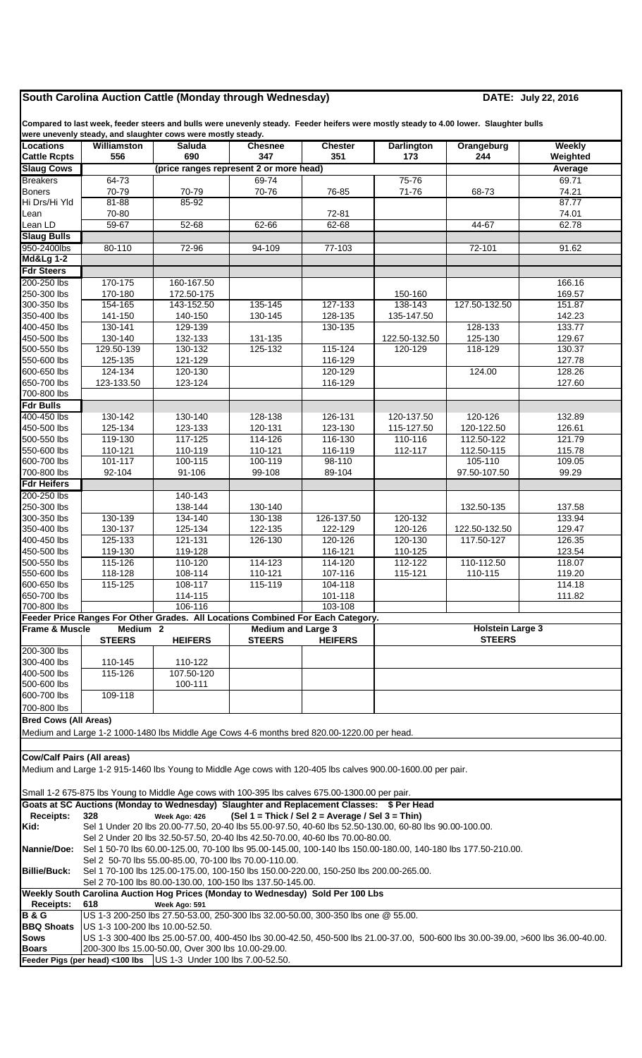## **South Carolina Auction Cattle (Monday through Wednesday) DATE: July 22, 2016**

**Compared to last week, feeder steers and bulls were unevenly steady. Feeder heifers were mostly steady to 4.00 lower. Slaughter bulls were unevenly steady, and slaughter cows were mostly steady.**

| <b>Locations</b>                          | Williamston                                                                                                                                                                            | $\alpha$ , and $\alpha$ and $\alpha$ and $\alpha$ and $\alpha$ and $\alpha$ and $\alpha$ and $\alpha$ and $\alpha$ and $\alpha$ and $\alpha$ and $\alpha$<br><b>Saluda</b> | <b>Chesnee</b>            | <b>Chester</b>                                   | <b>Darlington</b>        | Orangeburg              | Weekly           |  |  |  |  |
|-------------------------------------------|----------------------------------------------------------------------------------------------------------------------------------------------------------------------------------------|----------------------------------------------------------------------------------------------------------------------------------------------------------------------------|---------------------------|--------------------------------------------------|--------------------------|-------------------------|------------------|--|--|--|--|
| <b>Cattle Rcpts</b>                       | 556                                                                                                                                                                                    | 690                                                                                                                                                                        | 347                       | 351                                              | 173                      | 244                     | Weighted         |  |  |  |  |
| <b>Slaug Cows</b>                         |                                                                                                                                                                                        | (price ranges represent 2 or more head)                                                                                                                                    |                           |                                                  |                          |                         | Average          |  |  |  |  |
| <b>Breakers</b>                           | $64 - 73$                                                                                                                                                                              |                                                                                                                                                                            | 69-74                     |                                                  | 75-76                    |                         | 69.71            |  |  |  |  |
| <b>Boners</b><br>Hi Drs/Hi Yld            | 70-79<br>81-88                                                                                                                                                                         | 70-79<br>85-92                                                                                                                                                             | 70-76                     | 76-85                                            | 71-76                    | 68-73                   | 74.21<br>87.77   |  |  |  |  |
| Lean                                      | 70-80                                                                                                                                                                                  |                                                                                                                                                                            |                           | 72-81                                            |                          |                         | 74.01            |  |  |  |  |
| Lean LD                                   | $59-67$                                                                                                                                                                                | 52-68                                                                                                                                                                      | $62 - 66$                 | 62-68                                            |                          | 44-67                   | 62.78            |  |  |  |  |
| <b>Slaug Bulls</b>                        |                                                                                                                                                                                        |                                                                                                                                                                            |                           |                                                  |                          |                         |                  |  |  |  |  |
| 950-2400lbs                               | 80-110                                                                                                                                                                                 | 72-96                                                                                                                                                                      | 94-109                    | 77-103                                           |                          | 72-101                  | 91.62            |  |  |  |  |
| <b>Md&amp;Lg 1-2</b><br><b>Fdr Steers</b> |                                                                                                                                                                                        |                                                                                                                                                                            |                           |                                                  |                          |                         |                  |  |  |  |  |
| 200-250 lbs                               | 170-175                                                                                                                                                                                | 160-167.50                                                                                                                                                                 |                           |                                                  |                          |                         | 166.16           |  |  |  |  |
| 250-300 lbs                               | 170-180                                                                                                                                                                                | 172.50-175                                                                                                                                                                 |                           |                                                  | 150-160                  |                         | 169.57           |  |  |  |  |
| 300-350 lbs                               | 154-165                                                                                                                                                                                | 143-152.50                                                                                                                                                                 | 135-145                   | 127-133                                          | 138-143                  | 127.50-132.50           | 151.87           |  |  |  |  |
| 350-400 lbs                               | 141-150                                                                                                                                                                                | 140-150                                                                                                                                                                    | 130-145                   | 128-135                                          | 135-147.50               |                         | 142.23           |  |  |  |  |
| 400-450 lbs<br>450-500 lbs                | 130-141<br>130-140                                                                                                                                                                     | 129-139                                                                                                                                                                    |                           | 130-135                                          |                          | 128-133<br>125-130      | 133.77           |  |  |  |  |
| 500-550 lbs                               | 129.50-139                                                                                                                                                                             | 132-133<br>130-132                                                                                                                                                         | 131-135<br>125-132        | 115-124                                          | 122.50-132.50<br>120-129 | 118-129                 | 129.67<br>130.37 |  |  |  |  |
| 550-600 lbs                               | 125-135                                                                                                                                                                                | 121-129                                                                                                                                                                    |                           | 116-129                                          |                          |                         | 127.78           |  |  |  |  |
| 600-650 lbs                               | 124-134                                                                                                                                                                                | 120-130                                                                                                                                                                    |                           | 120-129                                          |                          | 124.00                  | 128.26           |  |  |  |  |
| 650-700 lbs                               | 123-133.50                                                                                                                                                                             | 123-124                                                                                                                                                                    |                           | 116-129                                          |                          |                         | 127.60           |  |  |  |  |
| 700-800 lbs<br><b>Fdr Bulls</b>           |                                                                                                                                                                                        |                                                                                                                                                                            |                           |                                                  |                          |                         |                  |  |  |  |  |
| 400-450 lbs                               | 130-142                                                                                                                                                                                | 130-140                                                                                                                                                                    | 128-138                   | 126-131                                          | 120-137.50               | 120-126                 | 132.89           |  |  |  |  |
| 450-500 lbs                               | 125-134                                                                                                                                                                                | 123-133                                                                                                                                                                    | 120-131                   | 123-130                                          | 115-127.50               | 120-122.50              | 126.61           |  |  |  |  |
| 500-550 lbs                               | 119-130                                                                                                                                                                                | $117 - 125$                                                                                                                                                                | 114-126                   | 116-130                                          | 110-116                  | 112.50-122              | 121.79           |  |  |  |  |
| 550-600 lbs                               | 110-121                                                                                                                                                                                | 110-119                                                                                                                                                                    | 110-121                   | 116-119                                          | 112-117                  | 112.50-115              | 115.78           |  |  |  |  |
| 600-700 lbs<br>700-800 lbs                | 101-117<br>92-104                                                                                                                                                                      | 100-115                                                                                                                                                                    | 100-119<br>99-108         | 98-110                                           |                          | 105-110<br>97.50-107.50 | 109.05<br>99.29  |  |  |  |  |
| <b>Fdr Heifers</b>                        |                                                                                                                                                                                        | 91-106                                                                                                                                                                     |                           | 89-104                                           |                          |                         |                  |  |  |  |  |
| 200-250 lbs                               |                                                                                                                                                                                        | 140-143                                                                                                                                                                    |                           |                                                  |                          |                         |                  |  |  |  |  |
| 250-300 lbs                               |                                                                                                                                                                                        | 138-144                                                                                                                                                                    | 130-140                   |                                                  |                          | 132.50-135              | 137.58           |  |  |  |  |
| 300-350 lbs                               | 130-139                                                                                                                                                                                | 134-140                                                                                                                                                                    | 130-138                   | 126-137.50                                       | 120-132                  |                         | 133.94           |  |  |  |  |
| 350-400 lbs                               | 130-137                                                                                                                                                                                | 125-134                                                                                                                                                                    | 122-135                   | 122-129                                          | 120-126                  | 122.50-132.50           | 129.47           |  |  |  |  |
| 400-450 lbs<br>450-500 lbs                | 125-133<br>119-130                                                                                                                                                                     | 121-131<br>119-128                                                                                                                                                         | 126-130                   | 120-126<br>116-121                               | 120-130<br>110-125       | 117.50-127              | 126.35<br>123.54 |  |  |  |  |
| 500-550 lbs                               | 115-126                                                                                                                                                                                | 110-120                                                                                                                                                                    | 114-123                   | 114-120                                          | 112-122                  | 110-112.50              | 118.07           |  |  |  |  |
| 550-600 lbs                               | 118-128                                                                                                                                                                                | 108-114                                                                                                                                                                    | 110-121                   | 107-116                                          | 115-121                  | 110-115                 | 119.20           |  |  |  |  |
| 600-650 lbs                               | 115-125                                                                                                                                                                                | 108-117                                                                                                                                                                    | 115-119                   | 104-118                                          |                          |                         | 114.18           |  |  |  |  |
| 650-700 lbs<br>700-800 lbs                |                                                                                                                                                                                        | 114-115<br>106-116                                                                                                                                                         |                           | 101-118<br>103-108                               |                          |                         | 111.82           |  |  |  |  |
|                                           |                                                                                                                                                                                        | Feeder Price Ranges For Other Grades. All Locations Combined For Each Category.                                                                                            |                           |                                                  |                          |                         |                  |  |  |  |  |
| <b>Frame &amp; Muscle</b>                 | Medium 2                                                                                                                                                                               |                                                                                                                                                                            | <b>Medium and Large 3</b> |                                                  | <b>Holstein Large 3</b>  |                         |                  |  |  |  |  |
|                                           | <b>STEERS</b>                                                                                                                                                                          | <b>HEIFERS</b>                                                                                                                                                             | <b>STEERS</b>             | <b>HEIFERS</b>                                   | <b>STEERS</b>            |                         |                  |  |  |  |  |
| 200-300 lbs                               |                                                                                                                                                                                        |                                                                                                                                                                            |                           |                                                  |                          |                         |                  |  |  |  |  |
| 300-400 lbs<br>400-500 lbs                | 110-145<br>115-126                                                                                                                                                                     | 110-122<br>107.50-120                                                                                                                                                      |                           |                                                  |                          |                         |                  |  |  |  |  |
| 500-600 lbs                               |                                                                                                                                                                                        | 100-111                                                                                                                                                                    |                           |                                                  |                          |                         |                  |  |  |  |  |
| 600-700 lbs                               | 109-118                                                                                                                                                                                |                                                                                                                                                                            |                           |                                                  |                          |                         |                  |  |  |  |  |
| 700-800 lbs                               |                                                                                                                                                                                        |                                                                                                                                                                            |                           |                                                  |                          |                         |                  |  |  |  |  |
| <b>Bred Cows (All Areas)</b>              |                                                                                                                                                                                        |                                                                                                                                                                            |                           |                                                  |                          |                         |                  |  |  |  |  |
|                                           |                                                                                                                                                                                        | Medium and Large 1-2 1000-1480 lbs Middle Age Cows 4-6 months bred 820.00-1220.00 per head.                                                                                |                           |                                                  |                          |                         |                  |  |  |  |  |
|                                           |                                                                                                                                                                                        |                                                                                                                                                                            |                           |                                                  |                          |                         |                  |  |  |  |  |
| <b>Cow/Calf Pairs (All areas)</b>         |                                                                                                                                                                                        |                                                                                                                                                                            |                           |                                                  |                          |                         |                  |  |  |  |  |
|                                           |                                                                                                                                                                                        | Medium and Large 1-2 915-1460 lbs Young to Middle Age cows with 120-405 lbs calves 900.00-1600.00 per pair.                                                                |                           |                                                  |                          |                         |                  |  |  |  |  |
|                                           |                                                                                                                                                                                        | Small 1-2 675-875 lbs Young to Middle Age cows with 100-395 lbs calves 675.00-1300.00 per pair.                                                                            |                           |                                                  |                          |                         |                  |  |  |  |  |
|                                           |                                                                                                                                                                                        | Goats at SC Auctions (Monday to Wednesday) Slaughter and Replacement Classes: \$ Per Head                                                                                  |                           |                                                  |                          |                         |                  |  |  |  |  |
| <b>Receipts:</b>                          | 328                                                                                                                                                                                    | Week Ago: 426                                                                                                                                                              |                           | (Sel 1 = Thick / Sel 2 = Average / Sel 3 = Thin) |                          |                         |                  |  |  |  |  |
| Kid:                                      |                                                                                                                                                                                        | Sel 1 Under 20 lbs 20.00-77.50, 20-40 lbs 55.00-97.50, 40-60 lbs 52.50-130.00, 60-80 lbs 90.00-100.00.                                                                     |                           |                                                  |                          |                         |                  |  |  |  |  |
| <b>Nannie/Doe:</b>                        | Sel 2 Under 20 lbs 32.50-57.50, 20-40 lbs 42.50-70.00, 40-60 lbs 70.00-80.00.                                                                                                          |                                                                                                                                                                            |                           |                                                  |                          |                         |                  |  |  |  |  |
|                                           | Sel 1 50-70 lbs 60.00-125.00, 70-100 lbs 95.00-145.00, 100-140 lbs 150.00-180.00, 140-180 lbs 177.50-210.00.<br>Sel 2 50-70 lbs 55.00-85.00, 70-100 lbs 70.00-110.00.                  |                                                                                                                                                                            |                           |                                                  |                          |                         |                  |  |  |  |  |
| <b>Billie/Buck:</b>                       | Sel 1 70-100 lbs 125.00-175.00, 100-150 lbs 150.00-220.00, 150-250 lbs 200.00-265.00.                                                                                                  |                                                                                                                                                                            |                           |                                                  |                          |                         |                  |  |  |  |  |
|                                           | Sel 2 70-100 lbs 80.00-130.00, 100-150 lbs 137.50-145.00.                                                                                                                              |                                                                                                                                                                            |                           |                                                  |                          |                         |                  |  |  |  |  |
|                                           | Weekly South Carolina Auction Hog Prices (Monday to Wednesday) Sold Per 100 Lbs                                                                                                        |                                                                                                                                                                            |                           |                                                  |                          |                         |                  |  |  |  |  |
| <b>Receipts:</b><br><b>B&amp;G</b>        | 618<br>Week Ago: 591<br>US 1-3 200-250 lbs 27.50-53.00, 250-300 lbs 32.00-50.00, 300-350 lbs one @ 55.00.                                                                              |                                                                                                                                                                            |                           |                                                  |                          |                         |                  |  |  |  |  |
| <b>BBQ Shoats</b>                         | US 1-3 100-200 lbs 10.00-52.50.                                                                                                                                                        |                                                                                                                                                                            |                           |                                                  |                          |                         |                  |  |  |  |  |
| <b>Sows</b>                               |                                                                                                                                                                                        |                                                                                                                                                                            |                           |                                                  |                          |                         |                  |  |  |  |  |
| <b>Boars</b>                              | US 1-3 300-400 lbs 25.00-57.00, 400-450 lbs 30.00-42.50, 450-500 lbs 21.00-37.00, 500-600 lbs 30.00-39.00, >600 lbs 36.00-40.00.<br>200-300 lbs 15.00-50.00, Over 300 lbs 10.00-29.00. |                                                                                                                                                                            |                           |                                                  |                          |                         |                  |  |  |  |  |
|                                           |                                                                                                                                                                                        | Feeder Pigs (per head) <100 lbs US 1-3 Under 100 lbs 7.00-52.50.                                                                                                           |                           |                                                  |                          |                         |                  |  |  |  |  |